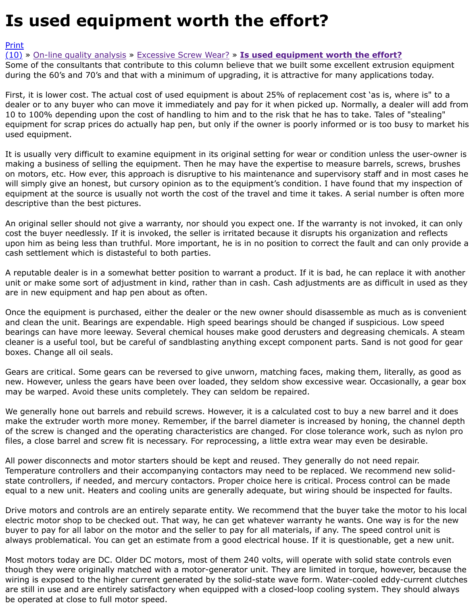First, it is lower cost. The actual cost of used equipment is about 25% of replacement cost 'as is, wh dealer or to any buyer who can move it immediately and pay for it when picked up. Normally, a dea 10 to 100% depending upon the cost of handling to him and to the risk that he has to take. Tales of [equip](http://extrusionwiki.com/wiki/Print.aspx?Page=CC%20V12-3-A)ment for scrap prices do actually hap pen, but only if the owner is poorly informed or is too bu [used](http://extrusionwiki.com/wiki/CC%20V12-3-A.ashx#) e[quipment.](http://extrusionwiki.com/wiki/CC%20V12-1-C.ashx)

It is usually very difficult to examine equipment in its original setting for wear or condition unless th making a business of selling the equipment. Then he may have the expertise to measure barrels, so on motors, etc. How ever, this approach is disruptive to his maintenance and supervisory staff and i will simply give an honest, but cursory opinion as to the equipment's condition. I have found that m equipment at the source is usually not worth the cost of the travel and time it takes. A serial numbe descriptive than the best pictures.

An original seller should not give a warranty, nor should you expect one. If the warranty is not invol cost the buyer needlessly. If it is invoked, the seller is irritated because it disrupts his organization and reflects upon him as being less than truthful. More important, he is in no position to correct the fault and ca cash settlement which is distasteful to both parties.

A reputable dealer is in a somewhat better position to warrant a product. If it is bad, he can replace unit or make some sort of adjustment in kind, rather than in cash. Cash adjustments are as difficult are in new equipment and hap pen about as often.

Once the equipment is purchased, either the dealer or the new owner should disassemble as much and clean the unit. Bearings are expendable. High speed bearings should be changed if suspicious. I bearings can have more leeway. Several chemical houses make good derusters and degreasing chei cleaner is a useful tool, but be careful of sandblasting anything except component parts. Sand is no boxes. Change all oil seals.

Gears are critical. Some gears can be reversed to give unworn, matching faces, making them, litera new. However, unless the gears have been over loaded, they seldom show excessive wear. Occasior may be warped. Avoid these units completely. They can seldom be repaired.

We generally hone out barrels and rebuild screws. However, it is a calculated cost to buy a new barr make the extruder worth more money. Remember, if the barrel diameter is increased by honing, the of the screw is changed and the operating characteristics are changed. For close tolerance work, sue files, a close barrel and screw fit is necessary. For reprocessing, a little extra wear may even be des

All power disconnects and motor starters should be kept and reused. They generally do not need re Temperature controllers and their accompanying contactors may need to be replaced. We recommen state controllers, if needed, and mercury contactors. Proper choice here is critical. Process control c equal to a new unit. Heaters and cooling units are generally adequate, but wiring should be inspecte

Drive motors and controls are an entirely separate entity. We recommend that the buyer take the m electric motor shop to be checked out. That way, he can get whatever warranty he wants. One way buyer to pay for all labor on the motor and the seller to pay for all materials, if any. The speed cont always problematical. You can get an estimate from a good electrical house. If it is questionable, ge

Most motors today are DC. Older DC motors, most of them 240 volts, will operate with solid state co though they were originally matched with a motor-generator unit. They are limited in torque, howev wiring is exposed to the higher current generated by the solid-state wave form. Water-cooled eddyare still in use and are entirely satisfactory when equipped with a closed-loop cooling system. They be operated at close to full motor speed.